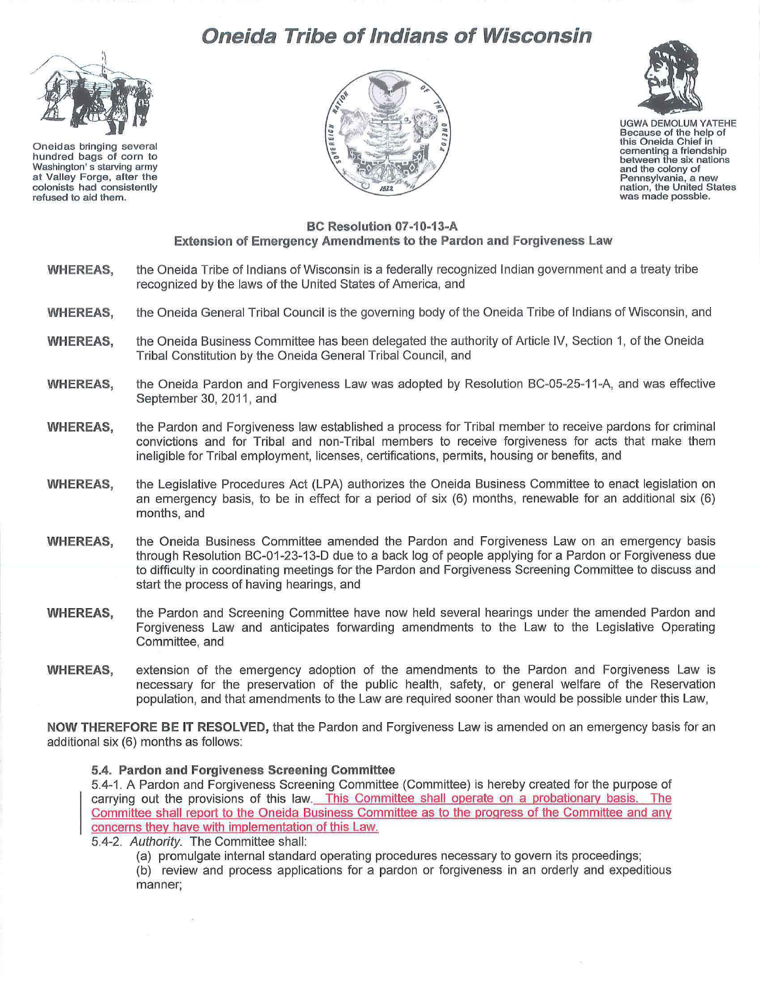# **Oneida Tribe of Indians of Wisconsin**



Oneidas bringing several hundred bags of corn to Washington' s starving army at Valley Forge, after the colonists had consistently refused to aid them.





UGWA DEMOLUM YATEHE Because of the help of this Oneida Chief in cementing a friendship between the six nations and the colony of Pennsylvania, a new<br>nation, the United States<br>was made possble.

## **BC Resolution 07-10-13-A Extension of Emergency Amendments to the Pardon and Forgiveness Law**

- **WHEREAS,**  the Oneida Tribe of Indians of Wisconsin is a federally recognized Indian government and a treaty tribe recognized by the laws of the United States of America, and
- **WHEREAS,**  the Oneida General Tribal Council is the governing body of the Oneida Tribe of Indians of Wisconsin, and
- **WHEREAS,**  the Oneida Business Committee has been delegated the authority of Article IV, Section 1, of the Oneida Tribal Constitution by the Oneida General Tribal Council, and
- **WHEREAS,**  the Oneida Pardon and Forgiveness Law was adopted by Resolution BC-05-25-11 -A, and was effective September 30, 2011, and
- **WHEREAS,**  the Pardon and Forgiveness law established a process for Tribal member to receive pardons for criminal convictions and for Tribal and non-Tribal members to receive forgiveness for acts that make them ineligible for Tribal employment, licenses, certifications, permits, housing or benefits, and
- **WHEREAS,**  the Legislative Procedures Act (LPA) authorizes the Oneida Business Committee to enact legislation on an emergency basis, to be in effect for a period of six (6) months, renewable for an additional six (6) months, and
- **WHEREAS,**  the Oneida Business Committee amended the Pardon and Forgiveness Law on an emergency basis through Resolution BC-01-23-13-D due to a back log of people applying for a Pardon or Forgiveness due to difficulty in coordinating meetings for the Pardon and Forgiveness Screening Committee to discuss and start the process of having hearings, and
- **WHEREAS,**  the Pardon and Screening Committee have now held several hearings under the amended Pardon and Forgiveness Law and anticipates forwarding amendments to the Law to the Legislative Operating Committee, and
- **WHEREAS,**  extension of the emergency adoption of the amendments to the Pardon and Forgiveness Law is necessary for the preservation of the public health, safety, or general welfare of the Reservation population, and that amendments to the Law are required sooner than would be possible under this Law,

**NOW THEREFORE BE IT RESOLVED,** that the Pardon and Forgiveness Law is amended on an emergency basis for an additional six (6) months as follows:

### **5.4. Pardon and Forgiveness Screening Committee**

5.4-1. A Pardon and Forgiveness Screening Committee (Committee) is hereby created for the purpose of carrying out the provisions of this law. This Committee shall operate on a probationary basis. The Committee shall report to the Oneida Business Committee as to the progress of the Committee and any concerns they have with implementation of this Law.

5.4-2. Authority. The Committee shall:

(a) promulgate internal standard operating procedures necessary to govern its proceedings;

(b) review and process applications for a pardon or forgiveness in an orderly and expeditious manner;